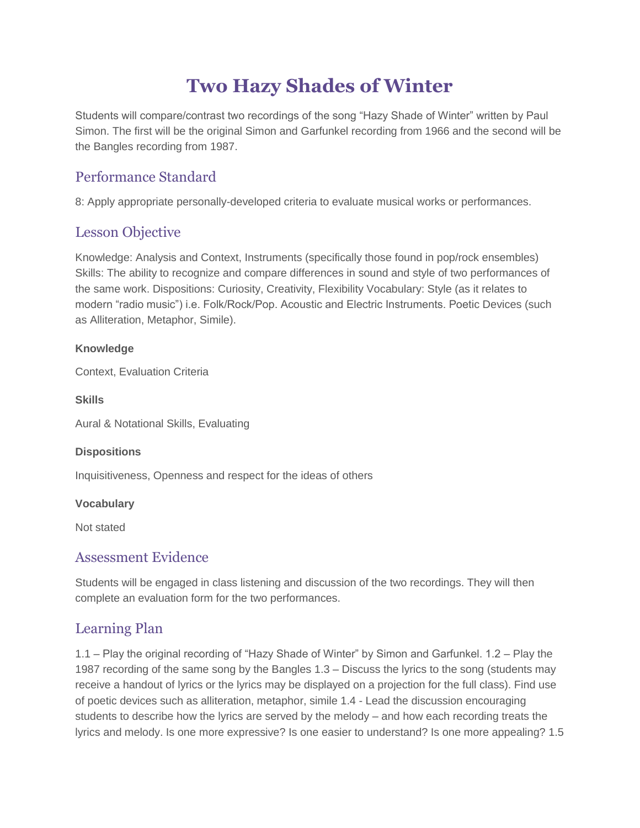# **Two Hazy Shades of Winter**

Students will compare/contrast two recordings of the song "Hazy Shade of Winter" written by Paul Simon. The first will be the original Simon and Garfunkel recording from 1966 and the second will be the Bangles recording from 1987.

# Performance Standard

8: Apply appropriate personally-developed criteria to evaluate musical works or performances.

# Lesson Objective

Knowledge: Analysis and Context, Instruments (specifically those found in pop/rock ensembles) Skills: The ability to recognize and compare differences in sound and style of two performances of the same work. Dispositions: Curiosity, Creativity, Flexibility Vocabulary: Style (as it relates to modern "radio music") i.e. Folk/Rock/Pop. Acoustic and Electric Instruments. Poetic Devices (such as Alliteration, Metaphor, Simile).

#### **Knowledge**

Context, Evaluation Criteria

**Skills**

Aural & Notational Skills, Evaluating

#### **Dispositions**

Inquisitiveness, Openness and respect for the ideas of others

#### **Vocabulary**

Not stated

# Assessment Evidence

Students will be engaged in class listening and discussion of the two recordings. They will then complete an evaluation form for the two performances.

## Learning Plan

1.1 – Play the original recording of "Hazy Shade of Winter" by Simon and Garfunkel. 1.2 – Play the 1987 recording of the same song by the Bangles 1.3 – Discuss the lyrics to the song (students may receive a handout of lyrics or the lyrics may be displayed on a projection for the full class). Find use of poetic devices such as alliteration, metaphor, simile 1.4 - Lead the discussion encouraging students to describe how the lyrics are served by the melody – and how each recording treats the lyrics and melody. Is one more expressive? Is one easier to understand? Is one more appealing? 1.5